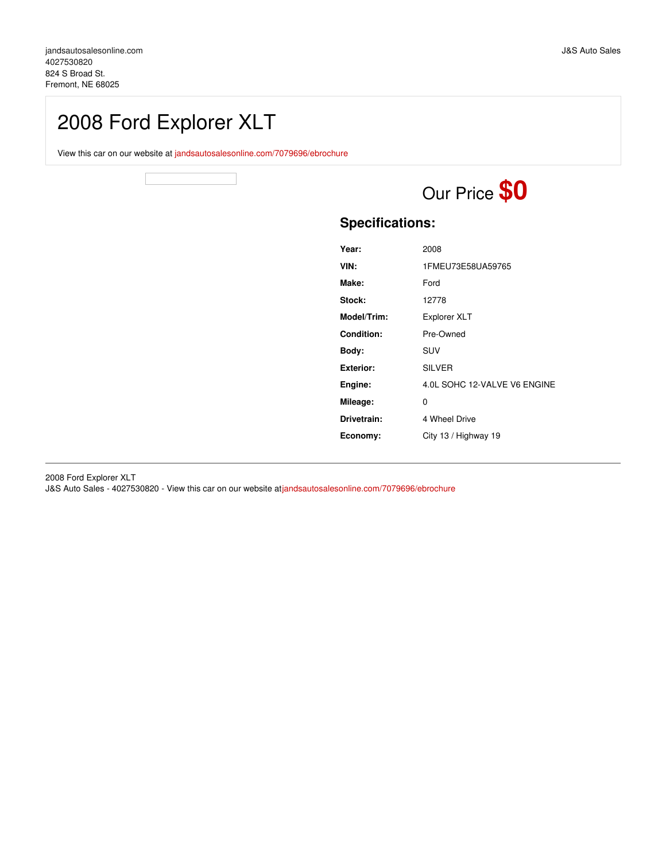## 2008 Ford Explorer XLT

View this car on our website at [jandsautosalesonline.com/7079696/ebrochure](https://jandsautosalesonline.com/vehicle/7079696/2008-ford-explorer-xlt-fremont-ne-68025/7079696/ebrochure)

# Our Price **\$0**

### **Specifications:**

| Year:             | 2008                         |
|-------------------|------------------------------|
| VIN:              | 1FMEU73E58UA59765            |
| Make:             | Ford                         |
| Stock:            | 12778                        |
| Model/Trim:       | <b>Explorer XLT</b>          |
| <b>Condition:</b> | Pre-Owned                    |
| Body:             | SUV                          |
| <b>Exterior:</b>  | <b>SILVER</b>                |
| Engine:           | 4.0L SOHC 12-VALVE V6 ENGINE |
| Mileage:          | 0                            |
| Drivetrain:       | 4 Wheel Drive                |
| Economy:          | City 13 / Highway 19         |

2008 Ford Explorer XLT

J&S Auto Sales - 4027530820 - View this car on our website at[jandsautosalesonline.com/7079696/ebrochure](https://jandsautosalesonline.com/vehicle/7079696/2008-ford-explorer-xlt-fremont-ne-68025/7079696/ebrochure)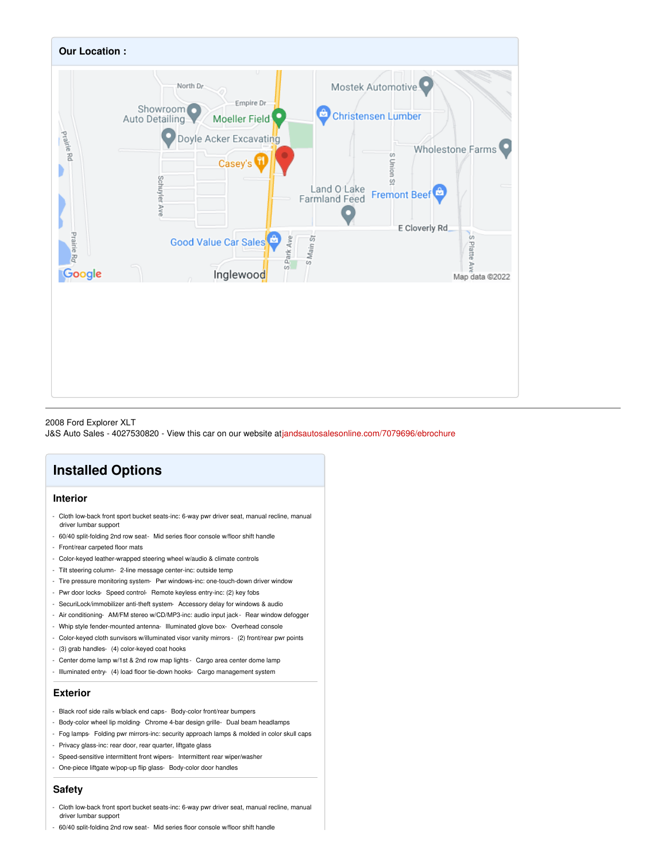

#### 2008 Ford Explorer XLT

J&S Auto Sales - 4027530820 - View this car on our website at[jandsautosalesonline.com/7079696/ebrochure](https://jandsautosalesonline.com/vehicle/7079696/2008-ford-explorer-xlt-fremont-ne-68025/7079696/ebrochure)

## **Installed Options**

#### **Interior**

- Cloth low-back front sport bucket seats-inc: 6-way pwr driver seat, manual recline, manual driver lumbar support
- 60/40 split-folding 2nd row seat- Mid series floor console w/floor shift handle
- Front/rear carpeted floor mats
- Color-keyed leather-wrapped steering wheel w/audio & climate controls
- Tilt steering column- 2-line message center-inc: outside temp
- Tire pressure monitoring system- Pwr windows-inc: one-touch-down driver window
- Pwr door locks- Speed control- Remote keyless entry-inc: (2) key fobs
- SecuriLock/immobilizer anti-theft system- Accessory delay for windows & audio
- Air conditioning- AM/FM stereo w/CD/MP3-inc: audio input jack Rear window defogger
- Whip style fender-mounted antenna- Illuminated glove box- Overhead console
- Color-keyed cloth sunvisors w/illuminated visor vanity mirrors (2) front/rear pwr points
- (3) grab handles- (4) color-keyed coat hooks
- Center dome lamp w/1st & 2nd row map lights Cargo area center dome lamp
- Illuminated entry- (4) load floor tie-down hooks- Cargo management system

#### **Exterior**

- Black roof side rails w/black end caps- Body-color front/rear bumpers
- Body-color wheel lip molding- Chrome 4-bar design grille- Dual beam headlamps
- Fog lamps- Folding pwr mirrors-inc: security approach lamps & molded in color skull caps
- Privacy glass-inc: rear door, rear quarter, liftgate glass
- Speed-sensitive intermittent front wipers- Intermittent rear wiper/washer
- One-piece liftgate w/pop-up flip glass- Body-color door handles

#### **Safety**

- Cloth low-back front sport bucket seats-inc: 6-way pwr driver seat, manual recline, manual driver lumbar support
- 60/40 split-folding 2nd row seat- Mid series floor console w/floor shift handle